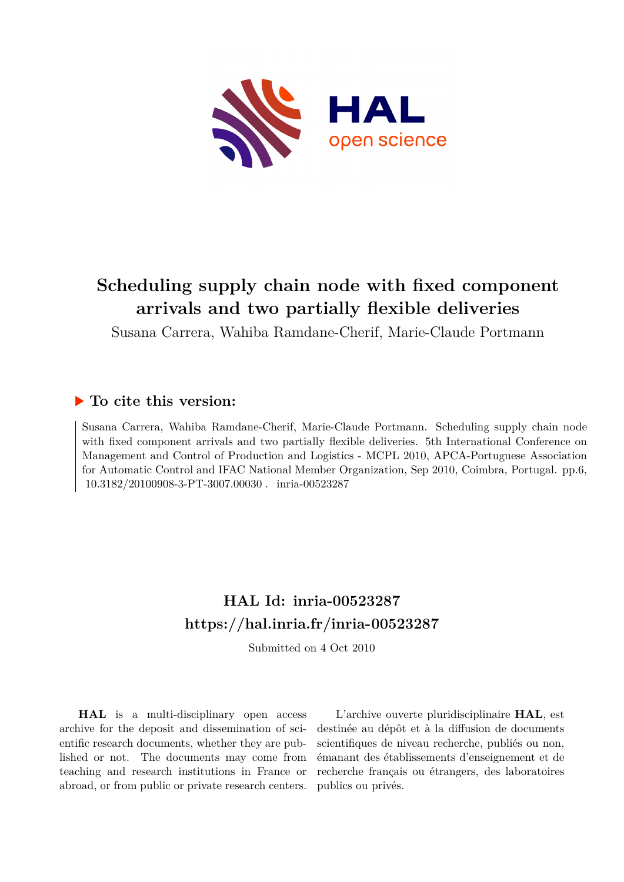

# **Scheduling supply chain node with fixed component arrivals and two partially flexible deliveries**

Susana Carrera, Wahiba Ramdane-Cherif, Marie-Claude Portmann

# **To cite this version:**

Susana Carrera, Wahiba Ramdane-Cherif, Marie-Claude Portmann. Scheduling supply chain node with fixed component arrivals and two partially flexible deliveries. 5th International Conference on Management and Control of Production and Logistics - MCPL 2010, APCA-Portuguese Association for Automatic Control and IFAC National Member Organization, Sep 2010, Coimbra, Portugal. pp.6, 10.3182/20100908-3-PT-3007.00030 . inria-00523287

# **HAL Id: inria-00523287 <https://hal.inria.fr/inria-00523287>**

Submitted on 4 Oct 2010

**HAL** is a multi-disciplinary open access archive for the deposit and dissemination of scientific research documents, whether they are published or not. The documents may come from teaching and research institutions in France or abroad, or from public or private research centers.

L'archive ouverte pluridisciplinaire **HAL**, est destinée au dépôt et à la diffusion de documents scientifiques de niveau recherche, publiés ou non, émanant des établissements d'enseignement et de recherche français ou étrangers, des laboratoires publics ou privés.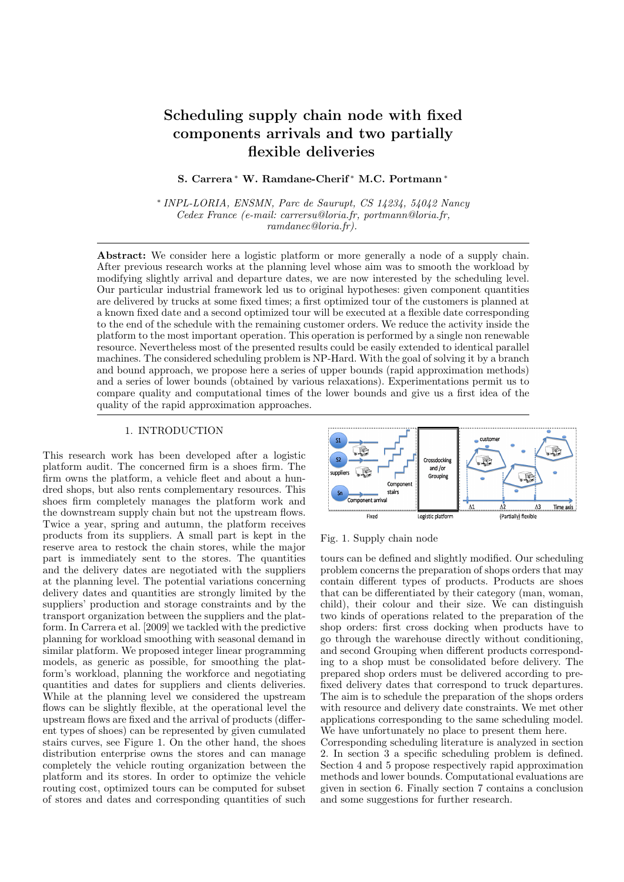# Scheduling supply chain node with fixed components arrivals and two partially flexible deliveries

S. Carrera <sup>∗</sup> W. Ramdane-Cherif <sup>∗</sup> M.C. Portmann <sup>∗</sup>

∗ INPL-LORIA, ENSMN, Parc de Saurupt, CS 14234, 54042 Nancy Cedex France (e-mail: carrersu@loria.fr, portmann@loria.fr, ramdanec@loria.fr).

Abstract: We consider here a logistic platform or more generally a node of a supply chain. After previous research works at the planning level whose aim was to smooth the workload by modifying slightly arrival and departure dates, we are now interested by the scheduling level. Our particular industrial framework led us to original hypotheses: given component quantities are delivered by trucks at some fixed times; a first optimized tour of the customers is planned at a known fixed date and a second optimized tour will be executed at a flexible date corresponding to the end of the schedule with the remaining customer orders. We reduce the activity inside the platform to the most important operation. This operation is performed by a single non renewable resource. Nevertheless most of the presented results could be easily extended to identical parallel machines. The considered scheduling problem is NP-Hard. With the goal of solving it by a branch and bound approach, we propose here a series of upper bounds (rapid approximation methods) and a series of lower bounds (obtained by various relaxations). Experimentations permit us to compare quality and computational times of the lower bounds and give us a first idea of the quality of the rapid approximation approaches.

# 1. INTRODUCTION

This research work has been developed after a logistic platform audit. The concerned firm is a shoes firm. The firm owns the platform, a vehicle fleet and about a hundred shops, but also rents complementary resources. This shoes firm completely manages the platform work and the downstream supply chain but not the upstream flows. Twice a year, spring and autumn, the platform receives products from its suppliers. A small part is kept in the reserve area to restock the chain stores, while the major part is immediately sent to the stores. The quantities and the delivery dates are negotiated with the suppliers at the planning level. The potential variations concerning delivery dates and quantities are strongly limited by the suppliers' production and storage constraints and by the transport organization between the suppliers and the platform. In Carrera et al. [2009] we tackled with the predictive planning for workload smoothing with seasonal demand in similar platform. We proposed integer linear programming models, as generic as possible, for smoothing the platform's workload, planning the workforce and negotiating quantities and dates for suppliers and clients deliveries. While at the planning level we considered the upstream flows can be slightly flexible, at the operational level the upstream flows are fixed and the arrival of products (different types of shoes) can be represented by given cumulated stairs curves, see Figure 1. On the other hand, the shoes distribution enterprise owns the stores and can manage completely the vehicle routing organization between the platform and its stores. In order to optimize the vehicle routing cost, optimized tours can be computed for subset of stores and dates and corresponding quantities of such



Fig. 1. Supply chain node

tours can be defined and slightly modified. Our scheduling problem concerns the preparation of shops orders that may contain different types of products. Products are shoes that can be differentiated by their category (man, woman, child), their colour and their size. We can distinguish two kinds of operations related to the preparation of the shop orders: first cross docking when products have to go through the warehouse directly without conditioning, and second Grouping when different products corresponding to a shop must be consolidated before delivery. The prepared shop orders must be delivered according to prefixed delivery dates that correspond to truck departures. The aim is to schedule the preparation of the shops orders with resource and delivery date constraints. We met other applications corresponding to the same scheduling model. We have unfortunately no place to present them here.

Corresponding scheduling literature is analyzed in section 2. In section 3 a specific scheduling problem is defined. Section 4 and 5 propose respectively rapid approximation methods and lower bounds. Computational evaluations are given in section 6. Finally section 7 contains a conclusion and some suggestions for further research.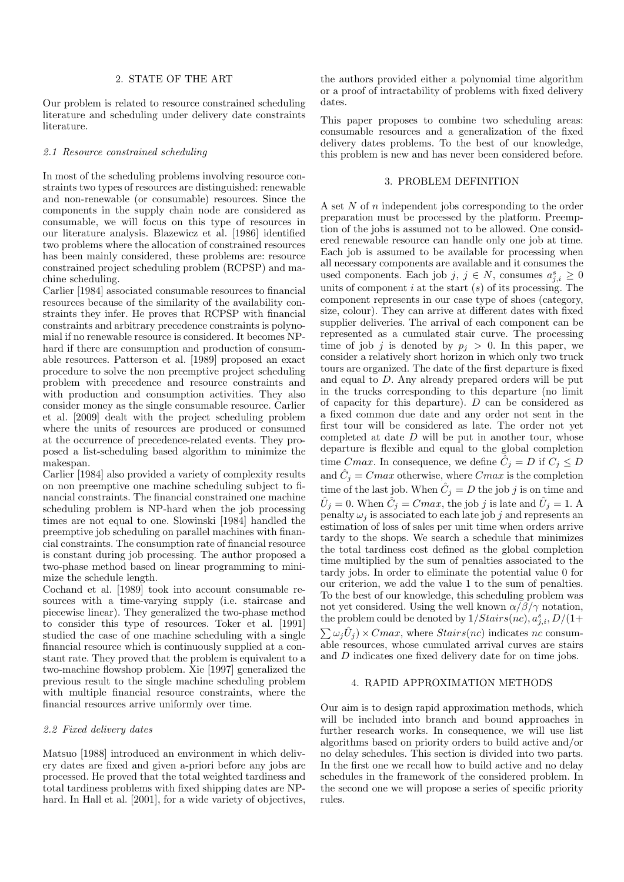## 2. STATE OF THE ART

Our problem is related to resource constrained scheduling literature and scheduling under delivery date constraints literature.

#### 2.1 Resource constrained scheduling

In most of the scheduling problems involving resource constraints two types of resources are distinguished: renewable and non-renewable (or consumable) resources. Since the components in the supply chain node are considered as consumable, we will focus on this type of resources in our literature analysis. Blazewicz et al. [1986] identified two problems where the allocation of constrained resources has been mainly considered, these problems are: resource constrained project scheduling problem (RCPSP) and machine scheduling.

Carlier [1984] associated consumable resources to financial resources because of the similarity of the availability constraints they infer. He proves that RCPSP with financial constraints and arbitrary precedence constraints is polynomial if no renewable resource is considered. It becomes NPhard if there are consumption and production of consumable resources. Patterson et al. [1989] proposed an exact procedure to solve the non preemptive project scheduling problem with precedence and resource constraints and with production and consumption activities. They also consider money as the single consumable resource. Carlier et al. [2009] dealt with the project scheduling problem where the units of resources are produced or consumed at the occurrence of precedence-related events. They proposed a list-scheduling based algorithm to minimize the makespan.

Carlier [1984] also provided a variety of complexity results on non preemptive one machine scheduling subject to financial constraints. The financial constrained one machine scheduling problem is NP-hard when the job processing times are not equal to one. Slowinski [1984] handled the preemptive job scheduling on parallel machines with financial constraints. The consumption rate of financial resource is constant during job processing. The author proposed a two-phase method based on linear programming to minimize the schedule length.

Cochand et al. [1989] took into account consumable resources with a time-varying supply (i.e. staircase and piecewise linear). They generalized the two-phase method to consider this type of resources. Toker et al. [1991] studied the case of one machine scheduling with a single financial resource which is continuously supplied at a constant rate. They proved that the problem is equivalent to a two-machine flowshop problem. Xie [1997] generalized the previous result to the single machine scheduling problem with multiple financial resource constraints, where the financial resources arrive uniformly over time.

### 2.2 Fixed delivery dates

Matsuo [1988] introduced an environment in which delivery dates are fixed and given a-priori before any jobs are processed. He proved that the total weighted tardiness and total tardiness problems with fixed shipping dates are NPhard. In Hall et al. [2001], for a wide variety of objectives, the authors provided either a polynomial time algorithm or a proof of intractability of problems with fixed delivery dates.

This paper proposes to combine two scheduling areas: consumable resources and a generalization of the fixed delivery dates problems. To the best of our knowledge, this problem is new and has never been considered before.

#### 3. PROBLEM DEFINITION

A set  $N$  of  $n$  independent jobs corresponding to the order preparation must be processed by the platform. Preemption of the jobs is assumed not to be allowed. One considered renewable resource can handle only one job at time. Each job is assumed to be available for processing when all necessary components are available and it consumes the used components. Each job j,  $j \in N$ , consumes  $a_{j,i}^s \geq 0$ units of component  $i$  at the start  $(s)$  of its processing. The component represents in our case type of shoes (category, size, colour). They can arrive at different dates with fixed supplier deliveries. The arrival of each component can be represented as a cumulated stair curve. The processing time of job j is denoted by  $p_i > 0$ . In this paper, we consider a relatively short horizon in which only two truck tours are organized. The date of the first departure is fixed and equal to D. Any already prepared orders will be put in the trucks corresponding to this departure (no limit of capacity for this departure). D can be considered as a fixed common due date and any order not sent in the first tour will be considered as late. The order not yet completed at date D will be put in another tour, whose departure is flexible and equal to the global completion time Cmax. In consequence, we define  $\hat{C}_j = D$  if  $C_j \leq D$ and  $\hat{C}_j = Cmax$  otherwise, where  $Cmax$  is the completion time of the last job. When  $\hat{C}_j = D$  the job j is on time and  $\hat{U}_j = 0$ . When  $\hat{C}_j = Cmax$ , the job j is late and  $\hat{U}_j = 1$ . A penalty  $\omega_i$  is associated to each late job j and represents an estimation of loss of sales per unit time when orders arrive tardy to the shops. We search a schedule that minimizes the total tardiness cost defined as the global completion time multiplied by the sum of penalties associated to the tardy jobs. In order to eliminate the potential value 0 for our criterion, we add the value 1 to the sum of penalties. To the best of our knowledge, this scheduling problem was not yet considered. Using the well known  $\alpha/\beta/\gamma$  notation, the problem could be denoted by  $1/Stairs(nc), a_{j,i}^s, D/(1+b)$  $\sum \omega_j \hat{U}_j \rangle \times Cmax$ , where  $Stairs(nc)$  indicates nc consumable resources, whose cumulated arrival curves are stairs and D indicates one fixed delivery date for on time jobs.

# 4. RAPID APPROXIMATION METHODS

Our aim is to design rapid approximation methods, which will be included into branch and bound approaches in further research works. In consequence, we will use list algorithms based on priority orders to build active and/or no delay schedules. This section is divided into two parts. In the first one we recall how to build active and no delay schedules in the framework of the considered problem. In the second one we will propose a series of specific priority rules.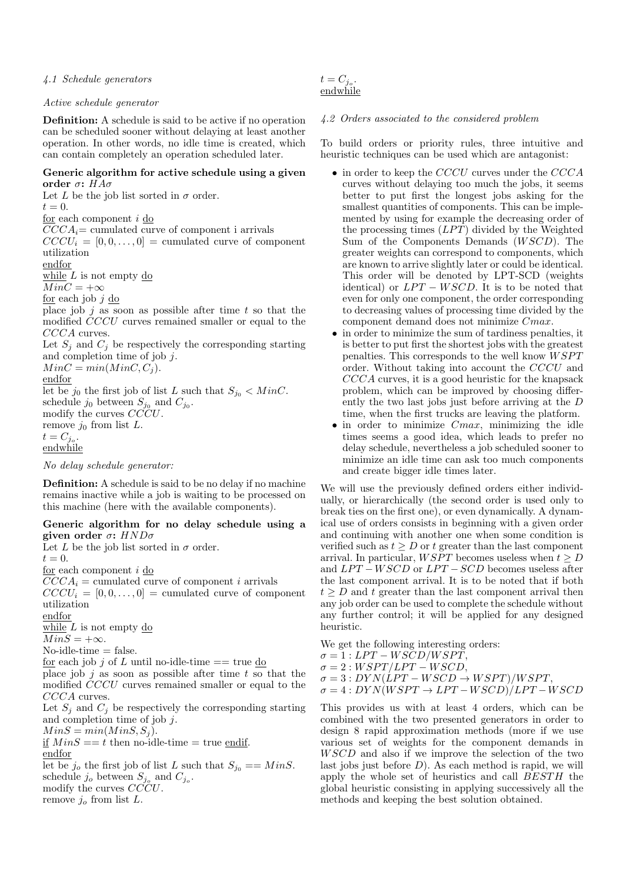# 4.1 Schedule generators

# Active schedule generator

Definition: A schedule is said to be active if no operation can be scheduled sooner without delaying at least another operation. In other words, no idle time is created, which can contain completely an operation scheduled later.

# Generic algorithm for active schedule using a given order  $σ$ :  $HAσ$

Let L be the job list sorted in  $\sigma$  order.  $t=0.$ for each component i do  $CCCA_i$ = cumulated curve of component i arrivals  $CCCU_i = [0, 0, \ldots, 0] = \text{cumulated curve of component}$ utilization endfor while  $L$  is not empty do  $MinC = +\infty$ for each job  $j$  do place job  $j$  as soon as possible after time  $t$  so that the modified CCCU curves remained smaller or equal to the CCCA curves. Let  $S_j$  and  $C_j$  be respectively the corresponding starting and completion time of job j.  $MinC = min(Minc, C<sub>i</sub>)$ . endfor let be  $j_0$  the first job of list L such that  $S_{j_0} < MinC$ . schedule  $j_0$  between  $S_{j_0}$  and  $C_{j_0}$ . modify the curves CCCU. remove  $j_0$  from list L.  $t = C_{j_o}.$ endwhile

No delay schedule generator:

Definition: A schedule is said to be no delay if no machine remains inactive while a job is waiting to be processed on this machine (here with the available components).

# Generic algorithm for no delay schedule using a given order  $\sigma$ :  $HND\sigma$

Let L be the job list sorted in  $\sigma$  order.  $t=0.$ for each component i do  $CCCA_i = \text{cumulated curve of component } i \text{ arrivals}$  $CCCU_i = [0, 0, \ldots, 0] =$  cumulated curve of component utilization endfor while  $\overline{L}$  is not empty do  $MinS = +\infty.$  $No$ -idle-time  $=$  false. for each job j of L until no-idle-time  $==$  true do place job j as soon as possible after time t so that the modified CCCU curves remained smaller or equal to the CCCA curves. Let  $S_j$  and  $C_j$  be respectively the corresponding starting and completion time of job j.  $MinS = min(Mins, S<sub>i</sub>)$ . if  $MinS == t$  then no-idle-time = true endif. endfor let be  $j_o$  the first job of list L such that  $S_{j_0} == MinS$ . schedule  $j_o$  between  $S_{j_o}$  and  $C_{j_o}$ . modify the curves  $CCCU$ . remove  $j_o$  from list L.

$$
t = C_{j_o}.
$$
  
endwhile

# 4.2 Orders associated to the considered problem

To build orders or priority rules, three intuitive and heuristic techniques can be used which are antagonist:

- in order to keep the CCCU curves under the CCCA curves without delaying too much the jobs, it seems better to put first the longest jobs asking for the smallest quantities of components. This can be implemented by using for example the decreasing order of the processing times  $(LPT)$  divided by the Weighted Sum of the Components Demands  $(WSCD)$ . The greater weights can correspond to components, which are known to arrive slightly later or could be identical. This order will be denoted by LPT-SCD (weights identical) or  $LPT - WSCD$ . It is to be noted that even for only one component, the order corresponding to decreasing values of processing time divided by the component demand does not minimize Cmax.
- in order to minimize the sum of tardiness penalties, it is better to put first the shortest jobs with the greatest penalties. This corresponds to the well know  $W SPT$ order. Without taking into account the CCCU and CCCA curves, it is a good heuristic for the knapsack problem, which can be improved by choosing differently the two last jobs just before arriving at the D time, when the first trucks are leaving the platform.
- $\bullet$  in order to minimize  $Cmax$ , minimizing the idle times seems a good idea, which leads to prefer no delay schedule, nevertheless a job scheduled sooner to minimize an idle time can ask too much components and create bigger idle times later.

We will use the previously defined orders either individually, or hierarchically (the second order is used only to break ties on the first one), or even dynamically. A dynamical use of orders consists in beginning with a given order and continuing with another one when some condition is verified such as  $t \geq D$  or t greater than the last component arrival. In particular,  $W\widetilde{SPT}$  becomes useless when  $t > D$ and  $LPT - WSCD$  or  $LPT - SCD$  becomes useless after the last component arrival. It is to be noted that if both  $t \geq D$  and t greater than the last component arrival then any job order can be used to complete the schedule without any further control; it will be applied for any designed heuristic.

We get the following interesting orders:  $\sigma = 1: LPT - WSCD/WSPT,$  $\sigma = 2 : WSPT/LPT - WSCD,$  $\sigma = 3: DYN(LPT - WSCD \rightarrow WSPT)/WSPT$  $\sigma = 4: DYN(WSPT \rightarrow LPT - WSCD)/LPT - WSCD$ 

This provides us with at least 4 orders, which can be combined with the two presented generators in order to design 8 rapid approximation methods (more if we use various set of weights for the component demands in W SCD and also if we improve the selection of the two last jobs just before  $D$ ). As each method is rapid, we will apply the whole set of heuristics and call BESTH the global heuristic consisting in applying successively all the methods and keeping the best solution obtained.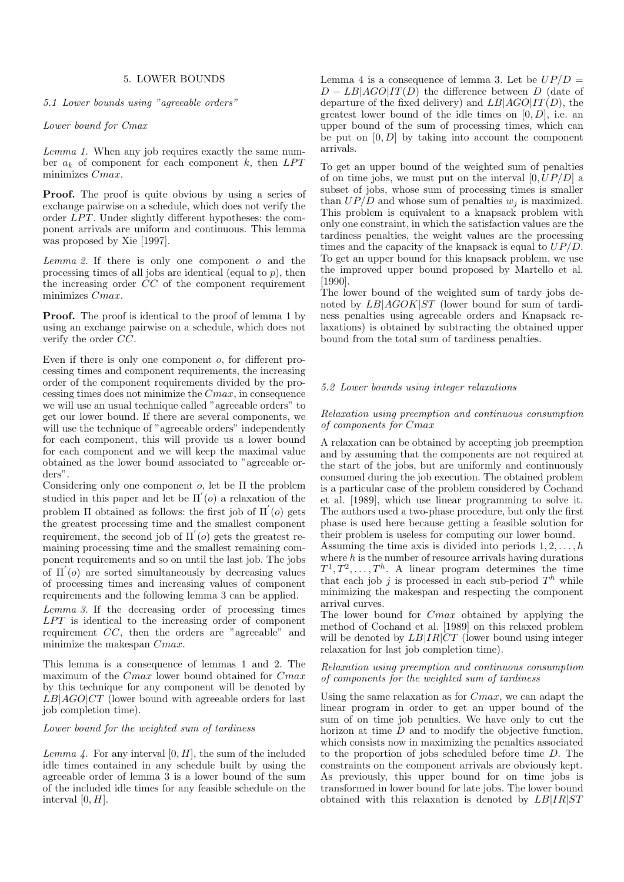## 5. LOWER BOUNDS

5.1 Lower bounds using "agreeable orders"

# Lower bound for Cmax

Lemma 1. When any job requires exactly the same number  $a_k$  of component for each component k, then  $LPT$ minimizes Cmax.

**Proof.** The proof is quite obvious by using a series of exchange pairwise on a schedule, which does not verify the order  $LPT$ . Under slightly different hypotheses: the component arrivals are uniform and continuous. This lemma was proposed by Xie [1997].

Lemma 2. If there is only one component  $o$  and the processing times of all jobs are identical (equal to  $p$ ), then the increasing order CC of the component requirement minimizes Cmax.

Proof. The proof is identical to the proof of lemma 1 by using an exchange pairwise on a schedule, which does not verify the order  $\overline{CC}$ .

Even if there is only one component o, for different processing times and component requirements, the increasing order of the component requirements divided by the processing times does not minimize the Cmax, in consequence we will use an usual technique called "agreeable orders" to get our lower bound. If there are several components, we will use the technique of "agreeable orders" independently for each component, this will provide us a lower bound for each component and we will keep the maximal value obtained as the lower bound associated to "agreeable orders".

Considering only one component o, let be Π the problem studied in this paper and let be  $\Pi'(o)$  a relaxation of the problem  $\Pi$  obtained as follows: the first job of  $\Pi'$  (*o*) gets the greatest processing time and the smallest component requirement, the second job of  $\Pi' (o)$  gets the greatest remaining processing time and the smallest remaining component requirements and so on until the last job. The jobs of  $\Pi'$ (o) are sorted simultaneously by decreasing values of processing times and increasing values of component requirements and the following lemma 3 can be applied.

Lemma 3. If the decreasing order of processing times  $LPT$  is identical to the increasing order of component requirement CC, then the orders are "agreeable" and minimize the makespan Cmax.

This lemma is a consequence of lemmas 1 and 2. The maximum of the Cmax lower bound obtained for Cmax by this technique for any component will be denoted by  $L\ddot{B}$ |AGO|CT (lower bound with agreeable orders for last job completion time).

Lower bound for the weighted sum of tardiness

Lemma 4. For any interval  $[0, H]$ , the sum of the included idle times contained in any schedule built by using the agreeable order of lemma 3 is a lower bound of the sum of the included idle times for any feasible schedule on the interval  $[0, H]$ .

Lemma 4 is a consequence of lemma 3. Let be  $UP/D =$  $D - LB|AGO|IT(D)$  the difference between D (date of departure of the fixed delivery) and  $LB|AGO|IT(D)$ , the greatest lower bound of the idle times on  $[0, D]$ , i.e. an upper bound of the sum of processing times, which can be put on  $[0, D]$  by taking into account the component arrivals.

To get an upper bound of the weighted sum of penalties of on time jobs, we must put on the interval  $[0, UP/D]$  a subset of jobs, whose sum of processing times is smaller than  $UP/D$  and whose sum of penalties  $w_i$  is maximized. This problem is equivalent to a knapsack problem with only one constraint, in which the satisfaction values are the tardiness penalties, the weight values are the processing times and the capacity of the knapsack is equal to UP/D. To get an upper bound for this knapsack problem, we use the improved upper bound proposed by Martello et al. [1990].

The lower bound of the weighted sum of tardy jobs denoted by  $LB|AGOK|ST$  (lower bound for sum of tardiness penalties using agreeable orders and Knapsack relaxations) is obtained by subtracting the obtained upper bound from the total sum of tardiness penalties.

#### 5.2 Lower bounds using integer relaxations

#### Relaxation using preemption and continuous consumption of components for Cmax

A relaxation can be obtained by accepting job preemption and by assuming that the components are not required at the start of the jobs, but are uniformly and continuously consumed during the job execution. The obtained problem is a particular case of the problem considered by Cochand et al. [1989], which use linear programming to solve it. The authors used a two-phase procedure, but only the first phase is used here because getting a feasible solution for their problem is useless for computing our lower bound.

Assuming the time axis is divided into periods  $1, 2, \ldots, h$ where  $h$  is the number of resource arrivals having durations  $T^1, T^2, \ldots, T^h$ . A linear program determines the time that each job j is processed in each sub-period  $T<sup>h</sup>$  while minimizing the makespan and respecting the component arrival curves.

The lower bound for Cmax obtained by applying the method of Cochand et al. [1989] on this relaxed problem will be denoted by  $LB|IR|CT$  (lower bound using integer relaxation for last job completion time).

## Relaxation using preemption and continuous consumption of components for the weighted sum of tardiness

Using the same relaxation as for Cmax, we can adapt the linear program in order to get an upper bound of the sum of on time job penalties. We have only to cut the horizon at time D and to modify the objective function, which consists now in maximizing the penalties associated to the proportion of jobs scheduled before time D. The constraints on the component arrivals are obviously kept. As previously, this upper bound for on time jobs is transformed in lower bound for late jobs. The lower bound obtained with this relaxation is denoted by  $LB|IR|ST$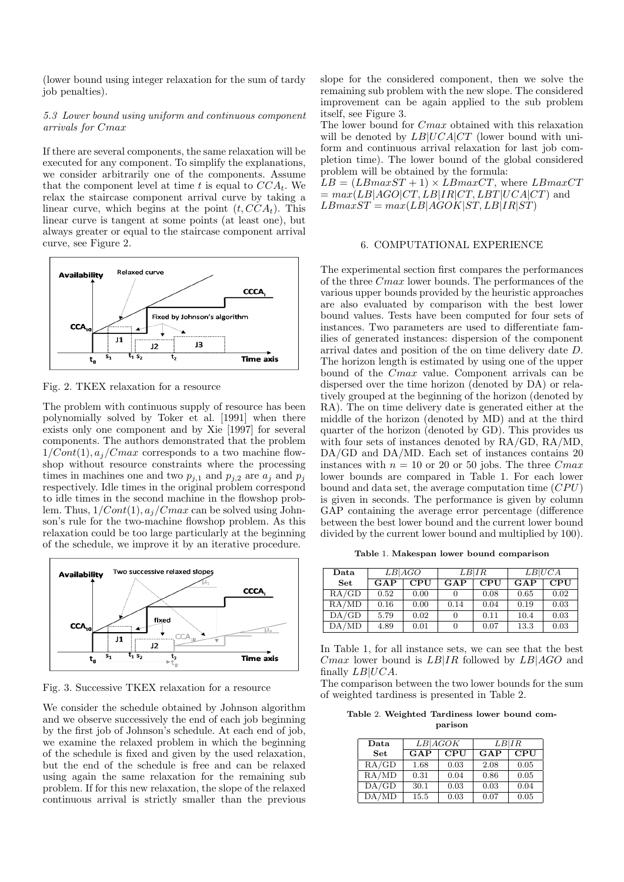(lower bound using integer relaxation for the sum of tardy job penalties).

#### 5.3 Lower bound using uniform and continuous component arrivals for Cmax

If there are several components, the same relaxation will be executed for any component. To simplify the explanations, we consider arbitrarily one of the components. Assume that the component level at time t is equal to  $CCA_t$ . We relax the staircase component arrival curve by taking a linear curve, which begins at the point  $(t, CCA_t)$ . This linear curve is tangent at some points (at least one), but always greater or equal to the staircase component arrival curve, see Figure 2.



Fig. 2. TKEX relaxation for a resource

The problem with continuous supply of resource has been polynomially solved by Toker et al. [1991] when there exists only one component and by Xie [1997] for several components. The authors demonstrated that the problem  $1/Cont(1), a_j/Cmax$  corresponds to a two machine flowshop without resource constraints where the processing times in machines one and two  $p_{j,1}$  and  $p_{j,2}$  are  $a_j$  and  $p_j$ respectively. Idle times in the original problem correspond to idle times in the second machine in the flowshop problem. Thus,  $1/Cont(1), a_j/Cmax$  can be solved using Johnson's rule for the two-machine flowshop problem. As this relaxation could be too large particularly at the beginning of the schedule, we improve it by an iterative procedure.



Fig. 3. Successive TKEX relaxation for a resource

We consider the schedule obtained by Johnson algorithm and we observe successively the end of each job beginning by the first job of Johnson's schedule. At each end of job, we examine the relaxed problem in which the beginning of the schedule is fixed and given by the used relaxation, but the end of the schedule is free and can be relaxed using again the same relaxation for the remaining sub problem. If for this new relaxation, the slope of the relaxed continuous arrival is strictly smaller than the previous

slope for the considered component, then we solve the remaining sub problem with the new slope. The considered improvement can be again applied to the sub problem itself, see Figure 3.

The lower bound for Cmax obtained with this relaxation will be denoted by  $LB|UCA|CT$  (lower bound with uniform and continuous arrival relaxation for last job completion time). The lower bound of the global considered problem will be obtained by the formula:

 $LB = (LBmaxST + 1) \times LBmaxCT$ , where  $LBmaxCT$  $= max(LB|AGO|CT, LB|IR|CT, LBT|UCA|CT)$  and  $LBmaxST = max(LB|AGOK|ST, LB|IR|ST)$ 

## 6. COMPUTATIONAL EXPERIENCE

The experimental section first compares the performances of the three Cmax lower bounds. The performances of the various upper bounds provided by the heuristic approaches are also evaluated by comparison with the best lower bound values. Tests have been computed for four sets of instances. Two parameters are used to differentiate families of generated instances: dispersion of the component arrival dates and position of the on time delivery date D. The horizon length is estimated by using one of the upper bound of the Cmax value. Component arrivals can be dispersed over the time horizon (denoted by DA) or relatively grouped at the beginning of the horizon (denoted by RA). The on time delivery date is generated either at the middle of the horizon (denoted by MD) and at the third quarter of the horizon (denoted by GD). This provides us with four sets of instances denoted by RA/GD, RA/MD, DA/GD and DA/MD. Each set of instances contains 20 instances with  $n = 10$  or 20 or 50 jobs. The three Cmax lower bounds are compared in Table 1. For each lower bound and data set, the average computation time  $(CPU)$ is given in seconds. The performance is given by column GAP containing the average error percentage (difference between the best lower bound and the current lower bound divided by the current lower bound and multiplied by 100).

Table 1. Makespan lower bound comparison

| $\mathbf{Data}$ | LB AGO |            | LB IR        |            | LB UCA |            |
|-----------------|--------|------------|--------------|------------|--------|------------|
| <b>Set</b>      | GAP    | <b>CPU</b> | GAP          | <b>CPU</b> | GAP    | <b>CPU</b> |
| RA/GD           | 0.52   | 0.00       | $\mathbf{0}$ | 0.08       | 0.65   | 0.02       |
| RA/MD           | 0.16   | 0.00       | 0.14         | 0.04       | 0.19   | 0.03       |
| DA/GD           | 5.79   | 0.02       | 0            | 0.11       | 10.4   | 0.03       |
| DA/MD           | 4.89   | 0.01       | 0            | 0.07       | 13.3   | 0.03       |

In Table 1, for all instance sets, we can see that the best *Cmax* lower bound is  $LB|IR$  followed by  $LB|AGO$  and finally  $LB|UCA$ .

The comparison between the two lower bounds for the sum of weighted tardiness is presented in Table 2.

Table 2. Weighted Tardiness lower bound comparison

| Data       | LB AGOK |            | LB IR |            |  |
|------------|---------|------------|-------|------------|--|
| <b>Set</b> | GAP     | <b>CPU</b> | GAP   | <b>CPU</b> |  |
| RA/GD      | 1.68    | 0.03       | 2.08  | 0.05       |  |
| RA/MD      | 0.31    | 0.04       | 0.86  | 0.05       |  |
| DA/GD      | 30.1    | 0.03       | 0.03  | 0.04       |  |
| DA/MD      | 15.5    | 0.03       | 0.07  | 0.05       |  |